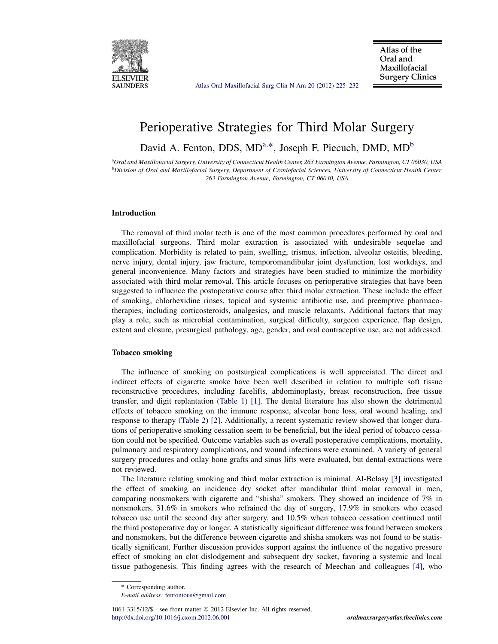

[Atlas Oral Maxillofacial Surg Clin N Am 20 \(2012\) 225–232](http://dx.doi.org/10.1016/j.cxom.2012.06.001)

# Perioperative Strategies for Third Molar Surgery

David A. Fenton, DDS, MD<sup>a,\*</sup>, Joseph F. Piecuch, DMD, MD<sup>b</sup>

a Oral and Maxillofacial Surgery, University of Connecticut Health Center, 263 Farmington Avenue, Farmington, CT 06030, USA **b** Division of Oral and Maxillofacial Surgery, Department of Craniofacial Sciences, University of Connecticut Health Center, 263 Farmington Avenue, Farmington, CT 06030, USA

### Introduction

The removal of third molar teeth is one of the most common procedures performed by oral and maxillofacial surgeons. Third molar extraction is associated with undesirable sequelae and complication. Morbidity is related to pain, swelling, trismus, infection, alveolar osteitis, bleeding, nerve injury, dental injury, jaw fracture, temporomandibular joint dysfunction, lost workdays, and general inconvenience. Many factors and strategies have been studied to minimize the morbidity associated with third molar removal. This article focuses on perioperative strategies that have been suggested to influence the postoperative course after third molar extraction. These include the effect of smoking, chlorhexidine rinses, topical and systemic antibiotic use, and preemptive pharmacotherapies, including corticosteroids, analgesics, and muscle relaxants. Additional factors that may play a role, such as microbial contamination, surgical difficulty, surgeon experience, flap design, extent and closure, presurgical pathology, age, gender, and oral contraceptive use, are not addressed.

## Tobacco smoking

The influence of smoking on postsurgical complications is well appreciated. The direct and indirect effects of cigarette smoke have been well described in relation to multiple soft tissue reconstructive procedures, including facelifts, abdominoplasty, breast reconstruction, free tissue transfer, and digit replantation [\(Table 1](#page-1-0)) [\[1\]](#page-6-0). The dental literature has also shown the detrimental effects of tobacco smoking on the immune response, alveolar bone loss, oral wound healing, and response to therapy ([Table 2](#page-1-0)) [\[2\]](#page-6-0). Additionally, a recent systematic review showed that longer durations of perioperative smoking cessation seem to be beneficial, but the ideal period of tobacco cessation could not be specified. Outcome variables such as overall postoperative complications, mortality, pulmonary and respiratory complications, and wound infections were examined. A variety of general surgery procedures and onlay bone grafts and sinus lifts were evaluated, but dental extractions were not reviewed.

The literature relating smoking and third molar extraction is minimal. Al-Belasy [\[3\]](#page-6-0) investigated the effect of smoking on incidence dry socket after mandibular third molar removal in men, comparing nonsmokers with cigarette and "shisha" smokers. They showed an incidence of 7% in nonsmokers, 31.6% in smokers who refrained the day of surgery, 17.9% in smokers who ceased tobacco use until the second day after surgery, and 10.5% when tobacco cessation continued until the third postoperative day or longer. A statistically significant difference was found between smokers and nonsmokers, but the difference between cigarette and shisha smokers was not found to be statistically significant. Further discussion provides support against the influence of the negative pressure effect of smoking on clot dislodgement and subsequent dry socket, favoring a systemic and local tissue pathogenesis. This finding agrees with the research of Meechan and colleagues [\[4\],](#page-6-0) who

\* Corresponding author.

E-mail address: [fentonious@gmail.com](mailto:fentonious@gmail.com)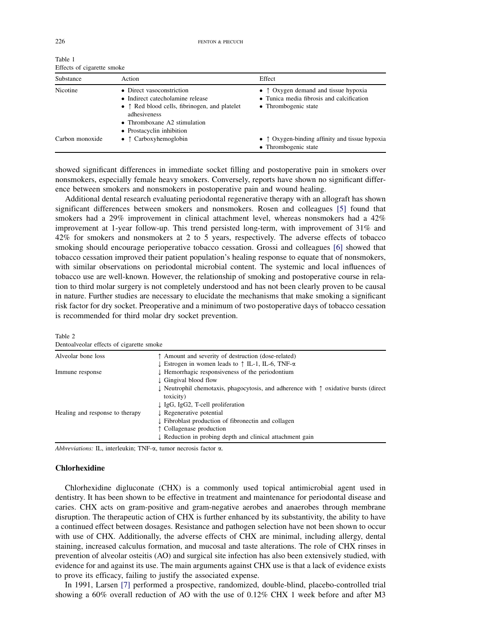<span id="page-1-0"></span>

| Table 1                    |  |
|----------------------------|--|
| Effects of cigarette smoke |  |

| Substance       | Action                                                                                                                                  | Effect                                                                                                             |
|-----------------|-----------------------------------------------------------------------------------------------------------------------------------------|--------------------------------------------------------------------------------------------------------------------|
| <b>Nicotine</b> | • Direct vasoconstriction<br>• Indirect catecholamine release<br>• $\uparrow$ Red blood cells, fibrinogen, and platelet<br>adhesiveness | • $\uparrow$ Oxygen demand and tissue hypoxia<br>• Tunica media fibrosis and calcification<br>• Thrombogenic state |
| Carbon monoxide | • Thromboxane $A2$ stimulation<br>• Prostacyclin inhibition<br>• $\uparrow$ Carboxyhemoglobin                                           | • $\uparrow$ Oxygen-binding affinity and tissue hypoxia<br>• Thrombogenic state                                    |

showed significant differences in immediate socket filling and postoperative pain in smokers over nonsmokers, especially female heavy smokers. Conversely, reports have shown no significant difference between smokers and nonsmokers in postoperative pain and wound healing.

Additional dental research evaluating periodontal regenerative therapy with an allograft has shown significant differences between smokers and nonsmokers. Rosen and colleagues [\[5\]](#page-6-0) found that smokers had a 29% improvement in clinical attachment level, whereas nonsmokers had a 42% improvement at 1-year follow-up. This trend persisted long-term, with improvement of 31% and 42% for smokers and nonsmokers at 2 to 5 years, respectively. The adverse effects of tobacco smoking should encourage perioperative tobacco cessation. Grossi and colleagues [\[6\]](#page-6-0) showed that tobacco cessation improved their patient population's healing response to equate that of nonsmokers, with similar observations on periodontal microbial content. The systemic and local influences of tobacco use are well-known. However, the relationship of smoking and postoperative course in relation to third molar surgery is not completely understood and has not been clearly proven to be causal in nature. Further studies are necessary to elucidate the mechanisms that make smoking a significant risk factor for dry socket. Preoperative and a minimum of two postoperative days of tobacco cessation is recommended for third molar dry socket prevention.

Table 2 Dentoalveolar effects of cigarette smoke

| ↑ Amount and severity of destruction (dose-related)                                                      |
|----------------------------------------------------------------------------------------------------------|
| ↓ Estrogen in women leads to $\uparrow$ IL-1, IL-6, TNF- $\alpha$                                        |
| I Hemorrhagic responsiveness of the periodontium                                                         |
| $\downarrow$ Gingival blood flow                                                                         |
| $\downarrow$ Neutrophil chemotaxis, phagocytosis, and adherence with $\uparrow$ oxidative bursts (direct |
| toxicity)                                                                                                |
| $\downarrow$ IgG, IgG2, T-cell proliferation                                                             |
| $\downarrow$ Regenerative potential                                                                      |
| Fibroblast production of fibronectin and collagen                                                        |
| ↑ Collagenase production                                                                                 |
| ↓ Reduction in probing depth and clinical attachment gain                                                |
|                                                                                                          |

Abbreviations: IL, interleukin; TNF-a, tumor necrosis factor a.

# Chlorhexidine

Chlorhexidine digluconate (CHX) is a commonly used topical antimicrobial agent used in dentistry. It has been shown to be effective in treatment and maintenance for periodontal disease and caries. CHX acts on gram-positive and gram-negative aerobes and anaerobes through membrane disruption. The therapeutic action of CHX is further enhanced by its substantivity, the ability to have a continued effect between dosages. Resistance and pathogen selection have not been shown to occur with use of CHX. Additionally, the adverse effects of CHX are minimal, including allergy, dental staining, increased calculus formation, and mucosal and taste alterations. The role of CHX rinses in prevention of alveolar osteitis (AO) and surgical site infection has also been extensively studied, with evidence for and against its use. The main arguments against CHX use is that a lack of evidence exists to prove its efficacy, failing to justify the associated expense.

In 1991, Larsen [\[7\]](#page-6-0) performed a prospective, randomized, double-blind, placebo-controlled trial showing a 60% overall reduction of AO with the use of 0.12% CHX 1 week before and after M3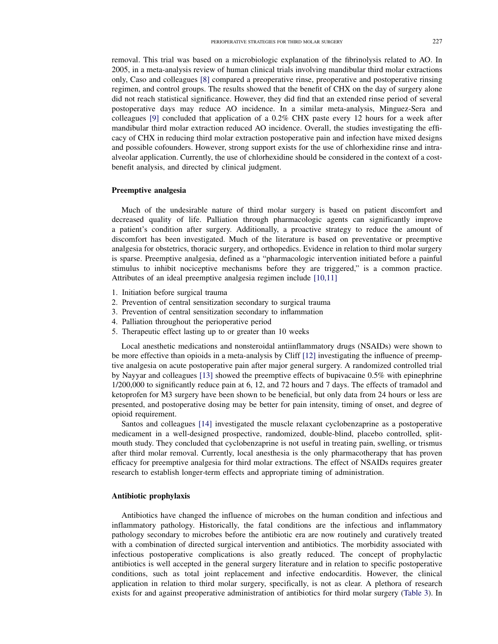removal. This trial was based on a microbiologic explanation of the fibrinolysis related to AO. In 2005, in a meta-analysis review of human clinical trials involving mandibular third molar extractions only, Caso and colleagues [\[8\]](#page-6-0) compared a preoperative rinse, preoperative and postoperative rinsing regimen, and control groups. The results showed that the benefit of CHX on the day of surgery alone did not reach statistical significance. However, they did find that an extended rinse period of several postoperative days may reduce AO incidence. In a similar meta-analysis, Minguez-Sera and colleagues [\[9\]](#page-6-0) concluded that application of a 0.2% CHX paste every 12 hours for a week after mandibular third molar extraction reduced AO incidence. Overall, the studies investigating the efficacy of CHX in reducing third molar extraction postoperative pain and infection have mixed designs and possible cofounders. However, strong support exists for the use of chlorhexidine rinse and intraalveolar application. Currently, the use of chlorhexidine should be considered in the context of a costbenefit analysis, and directed by clinical judgment.

#### Preemptive analgesia

Much of the undesirable nature of third molar surgery is based on patient discomfort and decreased quality of life. Palliation through pharmacologic agents can significantly improve a patient's condition after surgery. Additionally, a proactive strategy to reduce the amount of discomfort has been investigated. Much of the literature is based on preventative or preemptive analgesia for obstetrics, thoracic surgery, and orthopedics. Evidence in relation to third molar surgery is sparse. Preemptive analgesia, defined as a "pharmacologic intervention initiated before a painful stimulus to inhibit nociceptive mechanisms before they are triggered," is a common practice. Attributes of an ideal preemptive analgesia regimen include [\[10,11\]](#page-7-0)

- 1. Initiation before surgical trauma
- 2. Prevention of central sensitization secondary to surgical trauma
- 3. Prevention of central sensitization secondary to inflammation
- 4. Palliation throughout the perioperative period
- 5. Therapeutic effect lasting up to or greater than 10 weeks

Local anesthetic medications and nonsteroidal antiinflammatory drugs (NSAIDs) were shown to be more effective than opioids in a meta-analysis by Cliff [\[12\]](#page-7-0) investigating the influence of preemptive analgesia on acute postoperative pain after major general surgery. A randomized controlled trial by Nayyar and colleagues [\[13\]](#page-7-0) showed the preemptive effects of bupivacaine 0.5% with epinephrine 1/200,000 to significantly reduce pain at 6, 12, and 72 hours and 7 days. The effects of tramadol and ketoprofen for M3 surgery have been shown to be beneficial, but only data from 24 hours or less are presented, and postoperative dosing may be better for pain intensity, timing of onset, and degree of opioid requirement.

Santos and colleagues [\[14\]](#page-7-0) investigated the muscle relaxant cyclobenzaprine as a postoperative medicament in a well-designed prospective, randomized, double-blind, placebo controlled, splitmouth study. They concluded that cyclobenzaprine is not useful in treating pain, swelling, or trismus after third molar removal. Currently, local anesthesia is the only pharmacotherapy that has proven efficacy for preemptive analgesia for third molar extractions. The effect of NSAIDs requires greater research to establish longer-term effects and appropriate timing of administration.

# Antibiotic prophylaxis

Antibiotics have changed the influence of microbes on the human condition and infectious and inflammatory pathology. Historically, the fatal conditions are the infectious and inflammatory pathology secondary to microbes before the antibiotic era are now routinely and curatively treated with a combination of directed surgical intervention and antibiotics. The morbidity associated with infectious postoperative complications is also greatly reduced. The concept of prophylactic antibiotics is well accepted in the general surgery literature and in relation to specific postoperative conditions, such as total joint replacement and infective endocarditis. However, the clinical application in relation to third molar surgery, specifically, is not as clear. A plethora of research exists for and against preoperative administration of antibiotics for third molar surgery ([Table 3\)](#page-3-0). In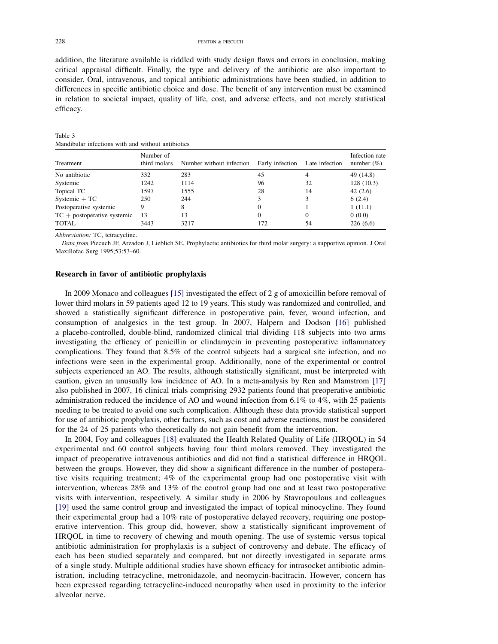<span id="page-3-0"></span>addition, the literature available is riddled with study design flaws and errors in conclusion, making critical appraisal difficult. Finally, the type and delivery of the antibiotic are also important to consider. Oral, intravenous, and topical antibiotic administrations have been studied, in addition to differences in specific antibiotic choice and dose. The benefit of any intervention must be examined in relation to societal impact, quality of life, cost, and adverse effects, and not merely statistical efficacy.

| Treatment                     | Number of<br>third molars | Number without infection | Early infection Late infection |    | Infection rate<br>number $(\%)$ |
|-------------------------------|---------------------------|--------------------------|--------------------------------|----|---------------------------------|
| No antibiotic                 | 332                       | 283                      | 45                             |    | 49 (14.8)                       |
| Systemic                      | 1242                      | 1114                     | 96                             | 32 | 128(10.3)                       |
| Topical TC                    | 1597                      | 1555                     | 28                             | 14 | 42(2.6)                         |
| Systemic $+TC$                | 250                       | 244                      | 3                              |    | 6(2.4)                          |
| Postoperative systemic        | 9                         | 8                        | $\Omega$                       |    | 1(11.1)                         |
| $TC + postoperative systemic$ | 13                        | 13                       | $\Omega$                       |    | 0(0.0)                          |
| <b>TOTAL</b>                  | 3443                      | 3217                     | 172                            | 54 | 226(6.6)                        |

Table 3 Mandibular infections with and without antibiotics

Abbreviation: TC, tetracycline.

Data from Piecuch JF, Arzadon J, Lieblich SE. Prophylactic antibiotics for third molar surgery: a supportive opinion. J Oral Maxillofac Surg 1995;53:53–60.

#### Research in favor of antibiotic prophylaxis

In 2009 Monaco and colleagues [\[15\]](#page-7-0) investigated the effect of 2 g of amoxicillin before removal of lower third molars in 59 patients aged 12 to 19 years. This study was randomized and controlled, and showed a statistically significant difference in postoperative pain, fever, wound infection, and consumption of analgesics in the test group. In 2007, Halpern and Dodson [\[16\]](#page-7-0) published a placebo-controlled, double-blind, randomized clinical trial dividing 118 subjects into two arms investigating the efficacy of penicillin or clindamycin in preventing postoperative inflammatory complications. They found that 8.5% of the control subjects had a surgical site infection, and no infections were seen in the experimental group. Additionally, none of the experimental or control subjects experienced an AO. The results, although statistically significant, must be interpreted with caution, given an unusually low incidence of AO. In a meta-analysis by Ren and Mamstrom [\[17\]](#page-7-0) also published in 2007, 16 clinical trials comprising 2932 patients found that preoperative antibiotic administration reduced the incidence of AO and wound infection from 6.1% to 4%, with 25 patients needing to be treated to avoid one such complication. Although these data provide statistical support for use of antibiotic prophylaxis, other factors, such as cost and adverse reactions, must be considered for the 24 of 25 patients who theoretically do not gain benefit from the intervention.

In 2004, Foy and colleagues [\[18\]](#page-7-0) evaluated the Health Related Quality of Life (HRQOL) in 54 experimental and 60 control subjects having four third molars removed. They investigated the impact of preoperative intravenous antibiotics and did not find a statistical difference in HRQOL between the groups. However, they did show a significant difference in the number of postoperative visits requiring treatment; 4% of the experimental group had one postoperative visit with intervention, whereas 28% and 13% of the control group had one and at least two postoperative visits with intervention, respectively. A similar study in 2006 by Stavropoulous and colleagues [\[19\]](#page-7-0) used the same control group and investigated the impact of topical minocycline. They found their experimental group had a 10% rate of postoperative delayed recovery, requiring one postoperative intervention. This group did, however, show a statistically significant improvement of HRQOL in time to recovery of chewing and mouth opening. The use of systemic versus topical antibiotic administration for prophylaxis is a subject of controversy and debate. The efficacy of each has been studied separately and compared, but not directly investigated in separate arms of a single study. Multiple additional studies have shown efficacy for intrasocket antibiotic administration, including tetracycline, metronidazole, and neomycin-bacitracin. However, concern has been expressed regarding tetracycline-induced neuropathy when used in proximity to the inferior alveolar nerve.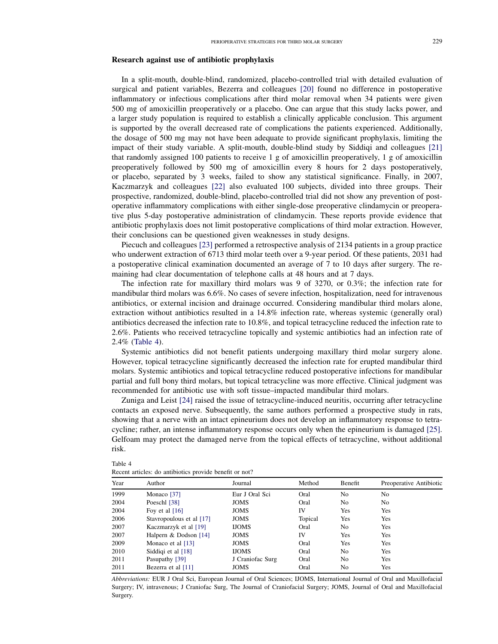#### Research against use of antibiotic prophylaxis

In a split-mouth, double-blind, randomized, placebo-controlled trial with detailed evaluation of surgical and patient variables, Bezerra and colleagues [\[20\]](#page-7-0) found no difference in postoperative inflammatory or infectious complications after third molar removal when 34 patients were given 500 mg of amoxicillin preoperatively or a placebo. One can argue that this study lacks power, and a larger study population is required to establish a clinically applicable conclusion. This argument is supported by the overall decreased rate of complications the patients experienced. Additionally, the dosage of 500 mg may not have been adequate to provide significant prophylaxis, limiting the impact of their study variable. A split-mouth, double-blind study by Siddiqi and colleagues [\[21\]](#page-7-0) that randomly assigned 100 patients to receive 1 g of amoxicillin preoperatively, 1 g of amoxicillin preoperatively followed by 500 mg of amoxicillin every 8 hours for 2 days postoperatively, or placebo, separated by 3 weeks, failed to show any statistical significance. Finally, in 2007, Kaczmarzyk and colleagues [\[22\]](#page-7-0) also evaluated 100 subjects, divided into three groups. Their prospective, randomized, double-blind, placebo-controlled trial did not show any prevention of postoperative inflammatory complications with either single-dose preoperative clindamycin or preoperative plus 5-day postoperative administration of clindamycin. These reports provide evidence that antibiotic prophylaxis does not limit postoperative complications of third molar extraction. However, their conclusions can be questioned given weaknesses in study designs.

Piecuch and colleagues [\[23\]](#page-7-0) performed a retrospective analysis of 2134 patients in a group practice who underwent extraction of 6713 third molar teeth over a 9-year period. Of these patients, 2031 had a postoperative clinical examination documented an average of 7 to 10 days after surgery. The remaining had clear documentation of telephone calls at 48 hours and at 7 days.

The infection rate for maxillary third molars was 9 of 3270, or 0.3%; the infection rate for mandibular third molars was 6.6%. No cases of severe infection, hospitalization, need for intravenous antibiotics, or external incision and drainage occurred. Considering mandibular third molars alone, extraction without antibiotics resulted in a 14.8% infection rate, whereas systemic (generally oral) antibiotics decreased the infection rate to 10.8%, and topical tetracycline reduced the infection rate to 2.6%. Patients who received tetracycline topically and systemic antibiotics had an infection rate of 2.4% (Table 4).

Systemic antibiotics did not benefit patients undergoing maxillary third molar surgery alone. However, topical tetracycline significantly decreased the infection rate for erupted mandibular third molars. Systemic antibiotics and topical tetracycline reduced postoperative infections for mandibular partial and full bony third molars, but topical tetracycline was more effective. Clinical judgment was recommended for antibiotic use with soft tissue–impacted mandibular third molars.

Zuniga and Leist [\[24\]](#page-7-0) raised the issue of tetracycline-induced neuritis, occurring after tetracycline contacts an exposed nerve. Subsequently, the same authors performed a prospective study in rats, showing that a nerve with an intact epineurium does not develop an inflammatory response to tetracycline; rather, an intense inflammatory response occurs only when the epineurium is damaged [\[25\]](#page-7-0). Gelfoam may protect the damaged nerve from the topical effects of tetracycline, without additional risk.

| recent armeno, ao antionatro provide ochem of hori |                          |                  |         |                |                         |
|----------------------------------------------------|--------------------------|------------------|---------|----------------|-------------------------|
| Year                                               | Author                   | Journal          | Method  | Benefit        | Preoperative Antibiotic |
| 1999                                               | Monaco [37]              | Eur J Oral Sci   | Oral    | N <sub>0</sub> | N <sub>0</sub>          |
| 2004                                               | Poeschl [38]             | <b>JOMS</b>      | Oral    | N <sub>0</sub> | N <sub>0</sub>          |
| 2004                                               | Foy et al $[16]$         | JOMS             | IV      | Yes            | Yes                     |
| 2006                                               | Stavropoulous et al [17] | JOMS             | Topical | Yes            | Yes                     |
| 2007                                               | Kaczmarzyk et al [19]    | <b>IJOMS</b>     | Oral    | N <sub>0</sub> | Yes                     |
| 2007                                               | Halpern & Dodson [14]    | JOMS             | IV      | Yes            | Yes                     |
| 2009                                               | Monaco et al $[13]$      | JOMS             | Oral    | Yes            | Yes                     |
| 2010                                               | Siddiqi et al $[18]$     | <b>IJOMS</b>     | Oral    | N <sub>0</sub> | Yes                     |
| 2011                                               | Pasupathy [39]           | J Craniofac Surg | Oral    | N <sub>0</sub> | Yes                     |
| 2011                                               | Bezerra et al [11]       | JOMS             | Oral    | No             | Yes                     |

Recent articles: do antibiotics provide benefit or not?

Table 4

Abbreviations: EUR J Oral Sci, European Journal of Oral Sciences; IJOMS, International Journal of Oral and Maxillofacial Surgery; IV, intravenous; J Craniofac Surg, The Journal of Craniofacial Surgery; JOMS, Journal of Oral and Maxillofacial Surgery.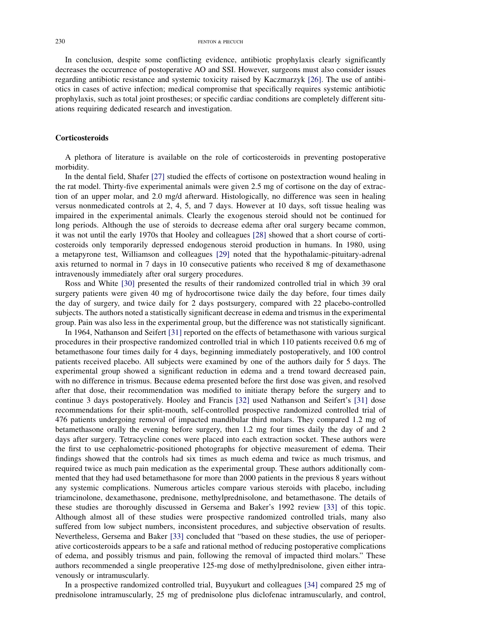In conclusion, despite some conflicting evidence, antibiotic prophylaxis clearly significantly decreases the occurrence of postoperative AO and SSI. However, surgeons must also consider issues regarding antibiotic resistance and systemic toxicity raised by Kaczmarzyk [\[26\]](#page-7-0). The use of antibiotics in cases of active infection; medical compromise that specifically requires systemic antibiotic prophylaxis, such as total joint prostheses; or specific cardiac conditions are completely different situations requiring dedicated research and investigation.

## **Corticosteroids**

A plethora of literature is available on the role of corticosteroids in preventing postoperative morbidity.

In the dental field, Shafer [\[27\]](#page-7-0) studied the effects of cortisone on postextraction wound healing in the rat model. Thirty-five experimental animals were given 2.5 mg of cortisone on the day of extraction of an upper molar, and 2.0 mg/d afterward. Histologically, no difference was seen in healing versus nonmedicated controls at 2, 4, 5, and 7 days. However at 10 days, soft tissue healing was impaired in the experimental animals. Clearly the exogenous steroid should not be continued for long periods. Although the use of steroids to decrease edema after oral surgery became common, it was not until the early 1970s that Hooley and colleagues [\[28\]](#page-7-0) showed that a short course of corticosteroids only temporarily depressed endogenous steroid production in humans. In 1980, using a metapyrone test, Williamson and colleagues [\[29\]](#page-7-0) noted that the hypothalamic-pituitary-adrenal axis returned to normal in 7 days in 10 consecutive patients who received 8 mg of dexamethasone intravenously immediately after oral surgery procedures.

Ross and White [\[30\]](#page-7-0) presented the results of their randomized controlled trial in which 39 oral surgery patients were given 40 mg of hydrocortisone twice daily the day before, four times daily the day of surgery, and twice daily for 2 days postsurgery, compared with 22 placebo-controlled subjects. The authors noted a statistically significant decrease in edema and trismus in the experimental group. Pain was also less in the experimental group, but the difference was not statistically significant.

In 1964, Nathanson and Seifert [\[31\]](#page-7-0) reported on the effects of betamethasone with various surgical procedures in their prospective randomized controlled trial in which 110 patients received 0.6 mg of betamethasone four times daily for 4 days, beginning immediately postoperatively, and 100 control patients received placebo. All subjects were examined by one of the authors daily for 5 days. The experimental group showed a significant reduction in edema and a trend toward decreased pain, with no difference in trismus. Because edema presented before the first dose was given, and resolved after that dose, their recommendation was modified to initiate therapy before the surgery and to continue 3 days postoperatively. Hooley and Francis [\[32\]](#page-7-0) used Nathanson and Seifert's [\[31\]](#page-7-0) dose recommendations for their split-mouth, self-controlled prospective randomized controlled trial of 476 patients undergoing removal of impacted mandibular third molars. They compared 1.2 mg of betamethasone orally the evening before surgery, then 1.2 mg four times daily the day of and 2 days after surgery. Tetracycline cones were placed into each extraction socket. These authors were the first to use cephalometric-positioned photographs for objective measurement of edema. Their findings showed that the controls had six times as much edema and twice as much trismus, and required twice as much pain medication as the experimental group. These authors additionally commented that they had used betamethasone for more than 2000 patients in the previous 8 years without any systemic complications. Numerous articles compare various steroids with placebo, including triamcinolone, dexamethasone, prednisone, methylprednisolone, and betamethasone. The details of these studies are thoroughly discussed in Gersema and Baker's 1992 review [\[33\]](#page-7-0) of this topic. Although almost all of these studies were prospective randomized controlled trials, many also suffered from low subject numbers, inconsistent procedures, and subjective observation of results. Nevertheless, Gersema and Baker [\[33\]](#page-7-0) concluded that "based on these studies, the use of perioperative corticosteroids appears to be a safe and rational method of reducing postoperative complications of edema, and possibly trismus and pain, following the removal of impacted third molars." These authors recommended a single preoperative 125-mg dose of methylprednisolone, given either intravenously or intramuscularly.

In a prospective randomized controlled trial, Buyyukurt and colleagues [\[34\]](#page-7-0) compared 25 mg of prednisolone intramuscularly, 25 mg of prednisolone plus diclofenac intramuscularly, and control,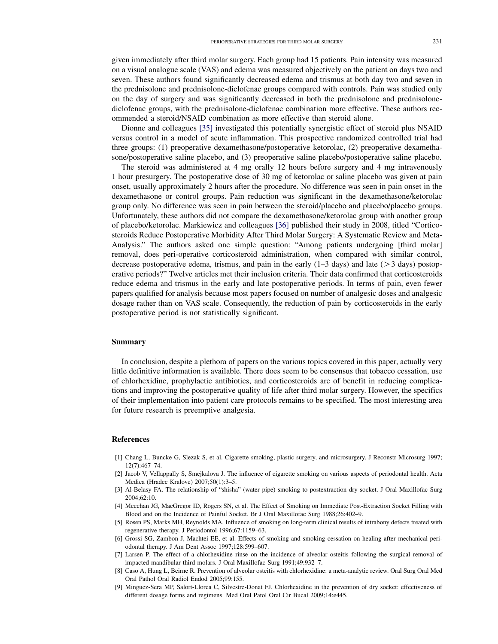<span id="page-6-0"></span>given immediately after third molar surgery. Each group had 15 patients. Pain intensity was measured on a visual analogue scale (VAS) and edema was measured objectively on the patient on days two and seven. These authors found significantly decreased edema and trismus at both day two and seven in the prednisolone and prednisolone-diclofenac groups compared with controls. Pain was studied only on the day of surgery and was significantly decreased in both the prednisolone and prednisolonediclofenac groups, with the prednisolone-diclofenac combination more effective. These authors recommended a steroid/NSAID combination as more effective than steroid alone.

Dionne and colleagues [\[35\]](#page-7-0) investigated this potentially synergistic effect of steroid plus NSAID versus control in a model of acute inflammation. This prospective randomized controlled trial had three groups: (1) preoperative dexamethasone/postoperative ketorolac, (2) preoperative dexamethasone/postoperative saline placebo, and (3) preoperative saline placebo/postoperative saline placebo.

The steroid was administered at 4 mg orally 12 hours before surgery and 4 mg intravenously 1 hour presurgery. The postoperative dose of 30 mg of ketorolac or saline placebo was given at pain onset, usually approximately 2 hours after the procedure. No difference was seen in pain onset in the dexamethasone or control groups. Pain reduction was significant in the dexamethasone/ketorolac group only. No difference was seen in pain between the steroid/placebo and placebo/placebo groups. Unfortunately, these authors did not compare the dexamethasone/ketorolac group with another group of placebo/ketorolac. Markiewicz and colleagues [\[36\]](#page-7-0) published their study in 2008, titled "Corticosteroids Reduce Postoperative Morbidity After Third Molar Surgery: A Systematic Review and Meta-Analysis." The authors asked one simple question: "Among patients undergoing [third molar] removal, does peri-operative corticosteroid administration, when compared with similar control, decrease postoperative edema, trismus, and pain in the early  $(1-3 \text{ days})$  and late ( $>3 \text{ days}$ ) postoperative periods?" Twelve articles met their inclusion criteria. Their data confirmed that corticosteroids reduce edema and trismus in the early and late postoperative periods. In terms of pain, even fewer papers qualified for analysis because most papers focused on number of analgesic doses and analgesic dosage rather than on VAS scale. Consequently, the reduction of pain by corticosteroids in the early postoperative period is not statistically significant.

#### Summary

In conclusion, despite a plethora of papers on the various topics covered in this paper, actually very little definitive information is available. There does seem to be consensus that tobacco cessation, use of chlorhexidine, prophylactic antibiotics, and corticosteroids are of benefit in reducing complications and improving the postoperative quality of life after third molar surgery. However, the specifics of their implementation into patient care protocols remains to be specified. The most interesting area for future research is preemptive analgesia.

#### References

- [1] Chang L, Buncke G, Slezak S, et al. Cigarette smoking, plastic surgery, and microsurgery. J Reconstr Microsurg 1997; 12(7):467–74.
- [2] Jacob V, Vellappally S, Smejkalova J. The influence of cigarette smoking on various aspects of periodontal health. Acta Medica (Hradec Kralove) 2007;50(1):3–5.
- [3] Al-Belasy FA. The relationship of "shisha" (water pipe) smoking to postextraction dry socket. J Oral Maxillofac Surg 2004;62:10.
- [4] Meechan JG, MacGregor ID, Rogers SN, et al. The Effect of Smoking on Immediate Post-Extraction Socket Filling with Blood and on the Incidence of Painful Socket. Br J Oral Maxillofac Surg 1988;26:402–9.
- [5] Rosen PS, Marks MH, Reynolds MA. Influence of smoking on long-term clinical results of intrabony defects treated with regenerative therapy. J Periodontol 1996;67:1159–63.
- [6] Grossi SG, Zambon J, Machtei EE, et al. Effects of smoking and smoking cessation on healing after mechanical periodontal therapy. J Am Dent Assoc 1997;128:599–607.
- [7] Larsen P. The effect of a chlorhexidine rinse on the incidence of alveolar osteitis following the surgical removal of impacted mandibular third molars. J Oral Maxillofac Surg 1991;49:932–7.
- [8] Caso A, Hung L, Beirne R. Prevention of alveolar osteitis with chlorhexidine: a meta-analytic review. Oral Surg Oral Med Oral Pathol Oral Radiol Endod 2005;99:155.
- [9] Minguez-Sera MP, Salort-Llorca C, Silvestre-Donat FJ. Chlorhexidine in the prevention of dry socket: effectiveness of different dosage forms and regimens. Med Oral Patol Oral Cir Bucal 2009;14:e445.